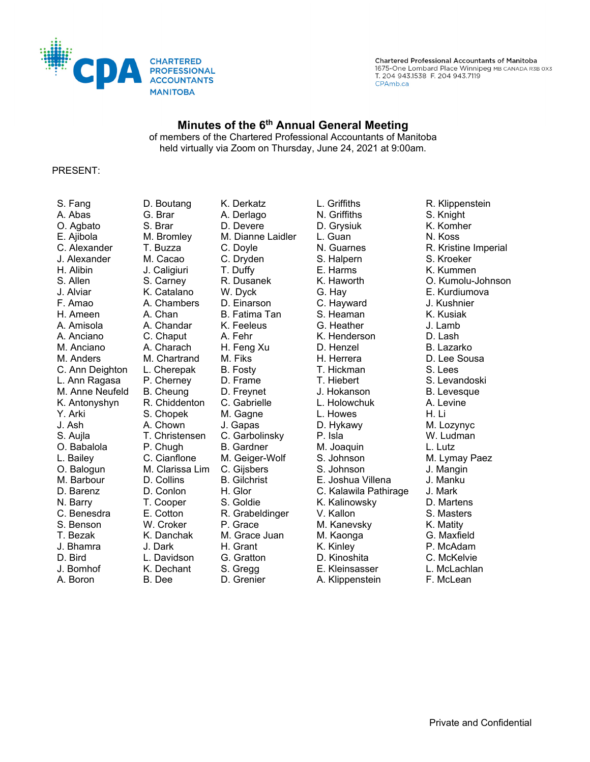

### **Minutes of the 6th Annual General Meeting**

of members of the Chartered Professional Accountants of Manitoba held virtually via Zoom on Thursday, June 24, 2021 at 9:00am.

#### PRESENT:

J. Bomhof K. Dechant S. Gregg E. Kleinsasser L. McLachlan A. Boron B. Dee D. Grenier A. Klippenstein F. McLean

S. Fang D. Boutang K. Derkatz L. Griffiths R. Klippenstein A. Abas G. Brar A. Derlago N. Griffiths S. Knight O. Agbato S. Brar D. Devere D. Grysiuk K. Komher E. Ajibola M. Bromley M. Dianne Laidler L. Guan N. Koss J. Alexander M. Cacao C. Dryden S. Halpern S. Kroeker H. Alibin J. Caligiuri T. Duffy E. Harms K. Kummen J. Alviar K. Catalano W. Dyck G. Hay E. Kurdiumova F. Amao A. Chambers D. Einarson C. Hayward J. Kushnier H. Ameen A. Chan B. Fatima Tan S. Heaman K. Kusiak A. Amisola A. Chandar K. Feeleus G. Heather J. Lamb A. Anciano C. Chaput A. Fehr K. Henderson D. Lash M. Anciano A. Charach H. Feng Xu D. Henzel B. Lazarko M. Anders M. Chartrand M. Fiks H. Herrera B. Lee Sousa C. Ann Deighton L. Cherepak B. Fosty T. Hickman S. Lees L. Ann Ragasa P. Cherney D. Frame T. Hiebert S. Levandoski M. Anne Neufeld B. Cheung D. Freynet J. Hokanson B. Levesque<br>K. Antonyshyn R. Chiddenton C. Gabrielle L. Holowchuk A. Levi K. Antonyshyn R. Chiddenton C. Gabrielle L. Holowchuk A. Levine Y. Arki S. Chopek M. Gagne L. Howes H. Li J. Ash A. Chown J. Gapas D. Hykawy M. Lozynyc S. Aujla T. Christensen C. Garbolinsky P. Isla W. Ludman O. Babalola P. Chugh B. Gardner M. Joaquin L. Lutz L. Bailey C. Cianflone M. Geiger-Wolf S. Johnson M. Lymay Paez O. Balogun M. Clarissa Lim C. Gijsbers S. Johnson J. Mangin M. Barbour D. Collins B. Gilchrist E. Joshua Villena J. Manku D. Barenz D. Conlon H. Glor C. Kalawila Pathirage N. Barry T. Cooper S. Goldie K. Kalinowsky D. Martens C. Benesdra E. Cotton R. Grabeldinger V. Kallon S. Masters S. Benson W. Croker P. Grace M. Kanevsky K. Matity T. Bezak K. Danchak M. Grace Juan M. Kaonga G. Maxfield J. Bhamra J. Dark H. Grant K. Kinley P. McAdam D. Bird L. Davidson G. Gratton D. Kinoshita C. McKelvie

T. Buzza C. Doyle N. Guarnes R. Kristine Imperial S. Allen S. Carney R. Dusanek K. Haworth O. Kumolu-Johnson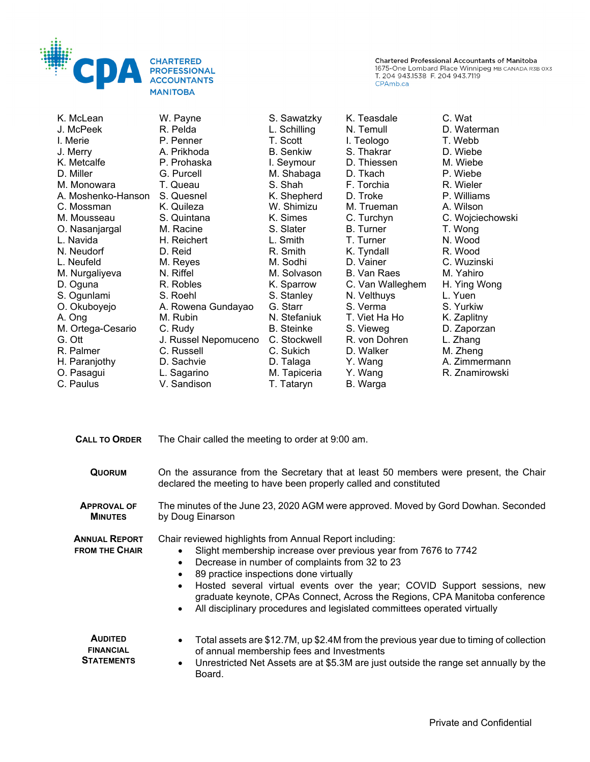

| K. McLean          | W. Payne             | S. Sawatzky       | K. Teasdale      | C. Wat           |
|--------------------|----------------------|-------------------|------------------|------------------|
| J. McPeek          | R. Pelda             | L. Schilling      | N. Temull        | D. Waterman      |
| I. Merie           | P. Penner            | T. Scott          | I. Teologo       | T. Webb          |
| J. Merry           | A. Prikhoda          | <b>B.</b> Senkiw  | S. Thakrar       | D. Wiebe         |
| K. Metcalfe        | P. Prohaska          | I. Seymour        | D. Thiessen      | M. Wiebe         |
| D. Miller          | G. Purcell           | M. Shabaga        | D. Tkach         | P. Wiebe         |
| M. Monowara        | T. Queau             | S. Shah           | F. Torchia       | R. Wieler        |
| A. Moshenko-Hanson | S. Quesnel           | K. Shepherd       | D. Troke         | P. Williams      |
| C. Mossman         | K. Quileza           | W. Shimizu        | M. Trueman       | A. Wilson        |
| M. Mousseau        | S. Quintana          | K. Simes          | C. Turchyn       | C. Wojciechowski |
| O. Nasanjargal     | M. Racine            | S. Slater         | <b>B.</b> Turner | T. Wong          |
| L. Navida          | H. Reichert          | L. Smith          | T. Turner        | N. Wood          |
| N. Neudorf         | D. Reid              | R. Smith          | K. Tyndall       | R. Wood          |
| L. Neufeld         | M. Reyes             | M. Sodhi          | D. Vainer        | C. Wuzinski      |
| M. Nurgaliyeva     | N. Riffel            | M. Solvason       | B. Van Raes      | M. Yahiro        |
| D. Oguna           | R. Robles            | K. Sparrow        | C. Van Walleghem | H. Ying Wong     |
| S. Ogunlami        | S. Roehl             | S. Stanley        | N. Velthuys      | L. Yuen          |
| O. Okuboyejo       | A. Rowena Gundayao   | G. Starr          | S. Verma         | S. Yurkiw        |
| A. Ong             | M. Rubin             | N. Stefaniuk      | T. Viet Ha Ho    | K. Zaplitny      |
| M. Ortega-Cesario  | C. Rudy              | <b>B.</b> Steinke | S. Vieweg        | D. Zaporzan      |
| G. Ott             | J. Russel Nepomuceno | C. Stockwell      | R. von Dohren    | L. Zhang         |
| R. Palmer          | C. Russell           | C. Sukich         | D. Walker        | M. Zheng         |
| H. Paranjothy      | D. Sachvie           | D. Talaga         | Y. Wang          | A. Zimmermann    |
| O. Pasagui         | L. Sagarino          | M. Tapiceria      | Y. Wang          | R. Znamirowski   |
| C. Paulus          | V. Sandison          | T. Tataryn        | B. Warga         |                  |

| <b>CALL TO ORDER</b>                                    | The Chair called the meeting to order at 9:00 am.                                                                                                                                                                                                                                                                                                                                                                                                                                       |  |  |  |
|---------------------------------------------------------|-----------------------------------------------------------------------------------------------------------------------------------------------------------------------------------------------------------------------------------------------------------------------------------------------------------------------------------------------------------------------------------------------------------------------------------------------------------------------------------------|--|--|--|
| <b>QUORUM</b>                                           | On the assurance from the Secretary that at least 50 members were present, the Chair<br>declared the meeting to have been properly called and constituted                                                                                                                                                                                                                                                                                                                               |  |  |  |
| <b>APPROVAL OF</b><br><b>MINUTES</b>                    | The minutes of the June 23, 2020 AGM were approved. Moved by Gord Dowhan. Seconded<br>by Doug Einarson                                                                                                                                                                                                                                                                                                                                                                                  |  |  |  |
| <b>ANNUAL REPORT</b><br><b>FROM THE CHAIR</b>           | Chair reviewed highlights from Annual Report including:<br>Slight membership increase over previous year from 7676 to 7742<br>Decrease in number of complaints from 32 to 23<br>$\bullet$<br>89 practice inspections done virtually<br>Hosted several virtual events over the year; COVID Support sessions, new<br>$\bullet$<br>graduate keynote, CPAs Connect, Across the Regions, CPA Manitoba conference<br>All disciplinary procedures and legislated committees operated virtually |  |  |  |
| <b>AUDITED</b><br><b>FINANCIAL</b><br><b>STATEMENTS</b> | Total assets are \$12.7M, up \$2.4M from the previous year due to timing of collection<br>of annual membership fees and Investments<br>Unrestricted Net Assets are at \$5.3M are just outside the range set annually by the<br>$\bullet$<br>Board.                                                                                                                                                                                                                                      |  |  |  |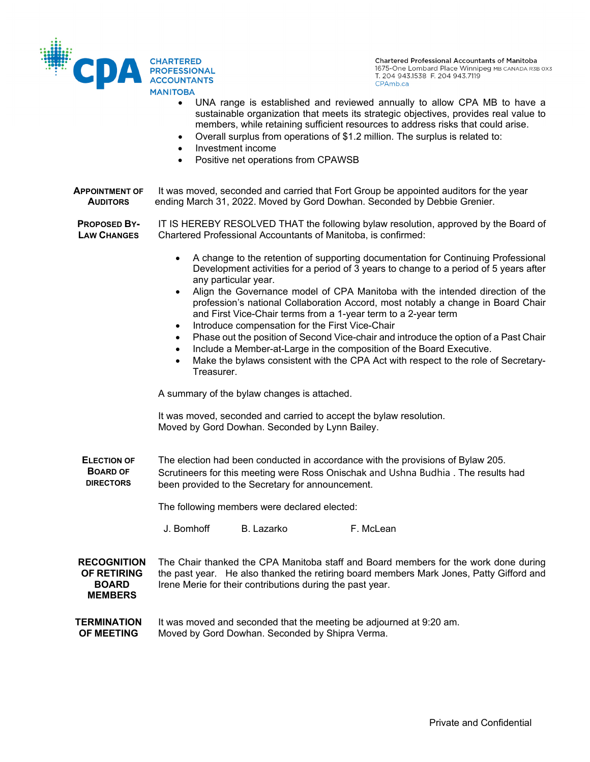

- UNA range is established and reviewed annually to allow CPA MB to have a sustainable organization that meets its strategic objectives, provides real value to members, while retaining sufficient resources to address risks that could arise.
- Overall surplus from operations of \$1.2 million. The surplus is related to:
- Investment income
- Positive net operations from CPAWSB

**APPOINTMENT OF AUDITORS** It was moved, seconded and carried that Fort Group be appointed auditors for the year ending March 31, 2022. Moved by Gord Dowhan. Seconded by Debbie Grenier.

**PROPOSED BY-LAW CHANGES** IT IS HEREBY RESOLVED THAT the following bylaw resolution, approved by the Board of Chartered Professional Accountants of Manitoba, is confirmed:

- A change to the retention of supporting documentation for Continuing Professional Development activities for a period of 3 years to change to a period of 5 years after any particular year.
- Align the Governance model of CPA Manitoba with the intended direction of the profession's national Collaboration Accord, most notably a change in Board Chair and First Vice-Chair terms from a 1-year term to a 2-year term
- Introduce compensation for the First Vice-Chair
- Phase out the position of Second Vice-chair and introduce the option of a Past Chair
- Include a Member-at-Large in the composition of the Board Executive.
- Make the bylaws consistent with the CPA Act with respect to the role of Secretary-Treasurer.

A summary of the bylaw changes is attached.

It was moved, seconded and carried to accept the bylaw resolution. Moved by Gord Dowhan. Seconded by Lynn Bailey.

**ELECTION OF BOARD OF DIRECTORS** The election had been conducted in accordance with the provisions of Bylaw 205. Scrutineers for this meeting were Ross Onischak and Ushna Budhia . The results had been provided to the Secretary for announcement.

The following members were declared elected:

J. Bomhoff B. Lazarko F. McLean

**RECOGNITION OF RETIRING BOARD MEMBERS** The Chair thanked the CPA Manitoba staff and Board members for the work done during the past year. He also thanked the retiring board members Mark Jones, Patty Gifford and Irene Merie for their contributions during the past year.

**TERMINATION OF MEETING** It was moved and seconded that the meeting be adjourned at 9:20 am. Moved by Gord Dowhan. Seconded by Shipra Verma.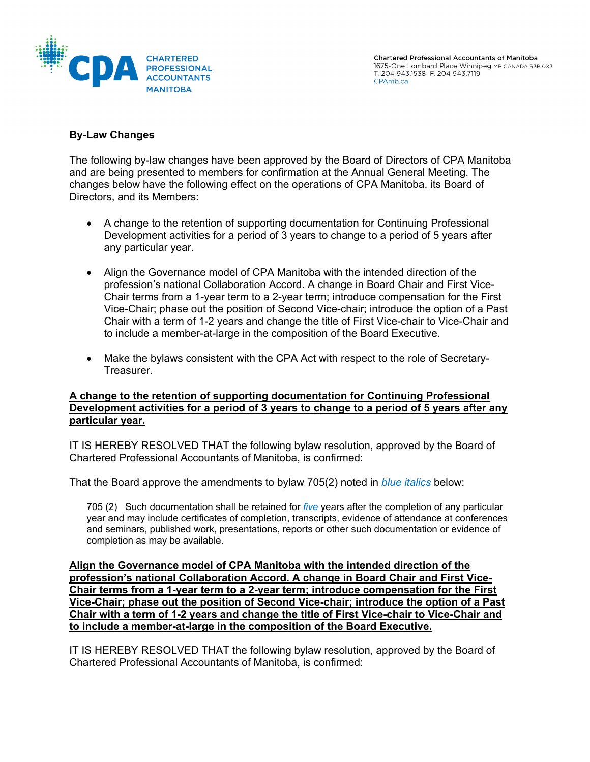

# **By-Law Changes**

The following by-law changes have been approved by the Board of Directors of CPA Manitoba and are being presented to members for confirmation at the Annual General Meeting. The changes below have the following effect on the operations of CPA Manitoba, its Board of Directors, and its Members:

- A change to the retention of supporting documentation for Continuing Professional Development activities for a period of 3 years to change to a period of 5 years after any particular year.
- Align the Governance model of CPA Manitoba with the intended direction of the profession's national Collaboration Accord. A change in Board Chair and First Vice-Chair terms from a 1-year term to a 2-year term; introduce compensation for the First Vice-Chair; phase out the position of Second Vice-chair; introduce the option of a Past Chair with a term of 1-2 years and change the title of First Vice-chair to Vice-Chair and to include a member-at-large in the composition of the Board Executive.
- Make the bylaws consistent with the CPA Act with respect to the role of Secretary-Treasurer.

### **A change to the retention of supporting documentation for Continuing Professional Development activities for a period of 3 years to change to a period of 5 years after any particular year.**

IT IS HEREBY RESOLVED THAT the following bylaw resolution, approved by the Board of Chartered Professional Accountants of Manitoba, is confirmed:

That the Board approve the amendments to bylaw 705(2) noted in *blue italics* below:

705 (2) Such documentation shall be retained for *five* years after the completion of any particular year and may include certificates of completion, transcripts, evidence of attendance at conferences and seminars, published work, presentations, reports or other such documentation or evidence of completion as may be available.

**Align the Governance model of CPA Manitoba with the intended direction of the profession's national Collaboration Accord. A change in Board Chair and First Vice-Chair terms from a 1-year term to a 2-year term; introduce compensation for the First Vice-Chair; phase out the position of Second Vice-chair; introduce the option of a Past Chair with a term of 1-2 years and change the title of First Vice-chair to Vice-Chair and to include a member-at-large in the composition of the Board Executive.** 

IT IS HEREBY RESOLVED THAT the following bylaw resolution, approved by the Board of Chartered Professional Accountants of Manitoba, is confirmed: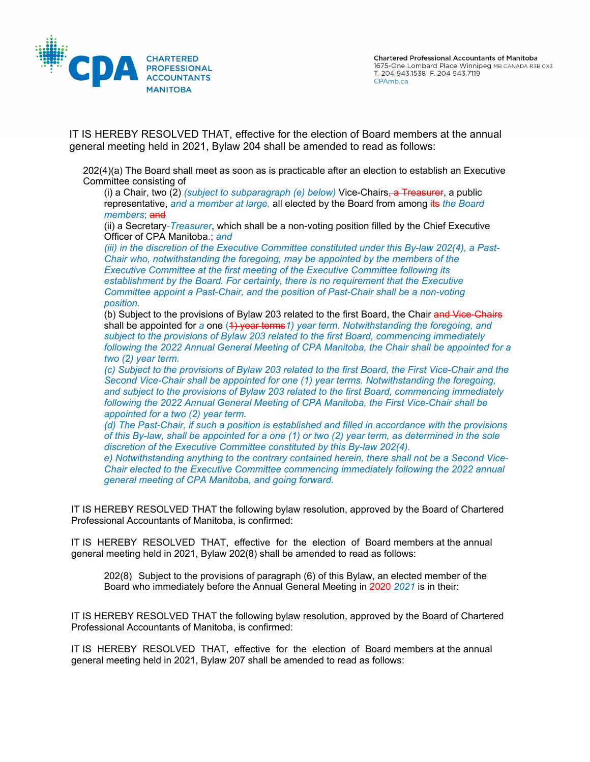

IT IS HEREBY RESOLVED THAT, effective for the election of Board members at the annual general meeting held in 2021, Bylaw 204 shall be amended to read as follows:

202(4)(a) The Board shall meet as soon as is practicable after an election to establish an Executive Committee consisting of

(i) a Chair, two (2) *(subject to subparagraph (e) below)* Vice-Chairs, a Treasurer, a public representative, *and a member at large,* all elected by the Board from among its *the Board members*; and

(ii) a Secretary*-Treasurer*, which shall be a non-voting position filled by the Chief Executive Officer of CPA Manitoba.; *and*

*(iii) in the discretion of the Executive Committee constituted under this By-law 202(4), a Past-Chair who, notwithstanding the foregoing, may be appointed by the members of the Executive Committee at the first meeting of the Executive Committee following its establishment by the Board. For certainty, there is no requirement that the Executive Committee appoint a Past-Chair, and the position of Past-Chair shall be a non-voting position.*

(b) Subject to the provisions of Bylaw 203 related to the first Board, the Chair and Vice-Chairs shall be appointed for a one (4) year terms<sup>1</sup>) year term. Notwithstanding the foregoing, and *subject to the provisions of Bylaw 203 related to the first Board, commencing immediately following the 2022 Annual General Meeting of CPA Manitoba, the Chair shall be appointed for a two (2) year term.*

*(c) Subject to the provisions of Bylaw 203 related to the first Board, the First Vice-Chair and the Second Vice-Chair shall be appointed for one (1) year terms. Notwithstanding the foregoing, and subject to the provisions of Bylaw 203 related to the first Board, commencing immediately following the 2022 Annual General Meeting of CPA Manitoba, the First Vice-Chair shall be appointed for a two (2) year term.*

*(d) The Past-Chair, if such a position is established and filled in accordance with the provisions of this By-law, shall be appointed for a one (1) or two (2) year term, as determined in the sole discretion of the Executive Committee constituted by this By-law 202(4).*

*e) Notwithstanding anything to the contrary contained herein, there shall not be a Second Vice-Chair elected to the Executive Committee commencing immediately following the 2022 annual general meeting of CPA Manitoba, and going forward.*

IT IS HEREBY RESOLVED THAT the following bylaw resolution, approved by the Board of Chartered Professional Accountants of Manitoba, is confirmed:

IT IS HEREBY RESOLVED THAT, effective for the election of Board members at the annual general meeting held in 2021, Bylaw 202(8) shall be amended to read as follows:

202(8) Subject to the provisions of paragraph (6) of this Bylaw, an elected member of the Board who immediately before the Annual General Meeting in 2020 *2021* is in their:

IT IS HEREBY RESOLVED THAT the following bylaw resolution, approved by the Board of Chartered Professional Accountants of Manitoba, is confirmed:

IT IS HEREBY RESOLVED THAT, effective for the election of Board members at the annual general meeting held in 2021, Bylaw 207 shall be amended to read as follows: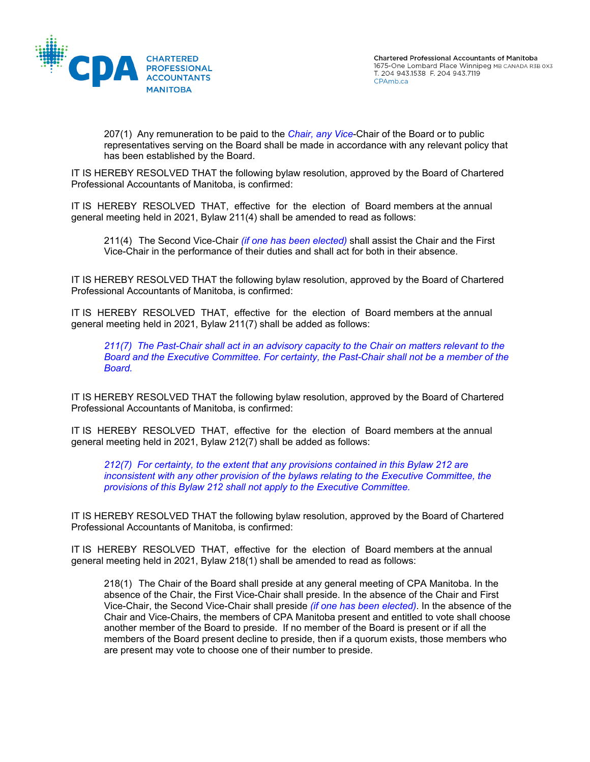

207(1) Any remuneration to be paid to the *Chair, any Vice*-Chair of the Board or to public representatives serving on the Board shall be made in accordance with any relevant policy that has been established by the Board.

IT IS HEREBY RESOLVED THAT the following bylaw resolution, approved by the Board of Chartered Professional Accountants of Manitoba, is confirmed:

IT IS HEREBY RESOLVED THAT, effective for the election of Board members at the annual general meeting held in 2021, Bylaw 211(4) shall be amended to read as follows:

211(4) The Second Vice-Chair *(if one has been elected)* shall assist the Chair and the First Vice-Chair in the performance of their duties and shall act for both in their absence.

IT IS HEREBY RESOLVED THAT the following bylaw resolution, approved by the Board of Chartered Professional Accountants of Manitoba, is confirmed:

IT IS HEREBY RESOLVED THAT, effective for the election of Board members at the annual general meeting held in 2021, Bylaw 211(7) shall be added as follows:

*211(7) The Past-Chair shall act in an advisory capacity to the Chair on matters relevant to the Board and the Executive Committee. For certainty, the Past-Chair shall not be a member of the Board.*

IT IS HEREBY RESOLVED THAT the following bylaw resolution, approved by the Board of Chartered Professional Accountants of Manitoba, is confirmed:

IT IS HEREBY RESOLVED THAT, effective for the election of Board members at the annual general meeting held in 2021, Bylaw 212(7) shall be added as follows:

*212(7) For certainty, to the extent that any provisions contained in this Bylaw 212 are inconsistent with any other provision of the bylaws relating to the Executive Committee, the provisions of this Bylaw 212 shall not apply to the Executive Committee.* 

IT IS HEREBY RESOLVED THAT the following bylaw resolution, approved by the Board of Chartered Professional Accountants of Manitoba, is confirmed:

IT IS HEREBY RESOLVED THAT, effective for the election of Board members at the annual general meeting held in 2021, Bylaw 218(1) shall be amended to read as follows:

218(1) The Chair of the Board shall preside at any general meeting of CPA Manitoba. In the absence of the Chair, the First Vice-Chair shall preside. In the absence of the Chair and First Vice-Chair, the Second Vice-Chair shall preside *(if one has been elected)*. In the absence of the Chair and Vice-Chairs, the members of CPA Manitoba present and entitled to vote shall choose another member of the Board to preside. If no member of the Board is present or if all the members of the Board present decline to preside, then if a quorum exists, those members who are present may vote to choose one of their number to preside.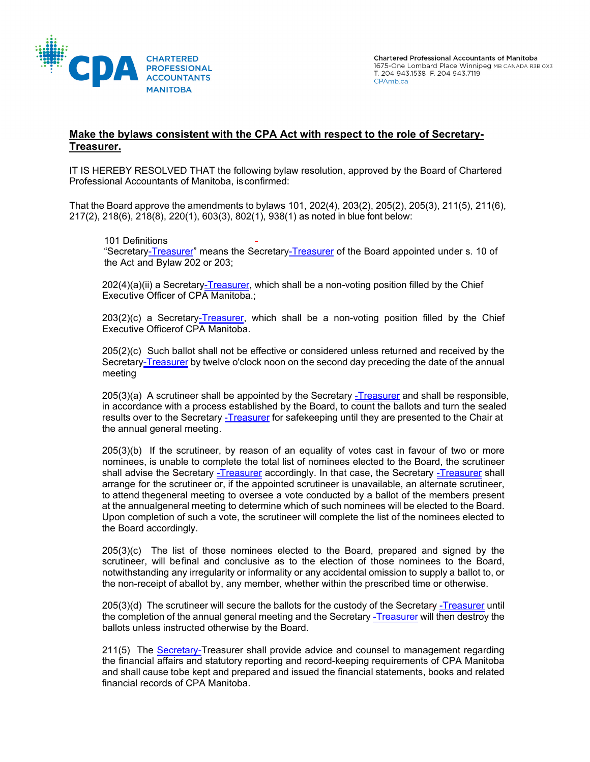

## **Make the bylaws consistent with the CPA Act with respect to the role of Secretary-Treasurer.**

IT IS HEREBY RESOLVED THAT the following bylaw resolution, approved by the Board of Chartered Professional Accountants of Manitoba, isconfirmed:

That the Board approve the amendments to bylaws 101, 202(4), 203(2), 205(2), 205(3), 211(5), 211(6), 217(2), 218(6), 218(8), 220(1), 603(3), 802(1), 938(1) as noted in blue font below:

#### 101 Definitions

"Secretary-Treasurer" means the Secretary-Treasurer of the Board appointed under s. 10 of the Act and Bylaw 202 or 203;

 $202(4)(a)(ii)$  a Secretary-Treasurer, which shall be a non-voting position filled by the Chief Executive Officer of CPA Manitoba.;

 $203(2)(c)$  a Secretary-Treasurer, which shall be a non-voting position filled by the Chief Executive Officerof CPA Manitoba.

205(2)(c) Such ballot shall not be effective or considered unless returned and received by the Secretary-Treasurer by twelve o'clock noon on the second day preceding the date of the annual meeting

 $205(3)(a)$  A scrutineer shall be appointed by the Secretary -Treasurer and shall be responsible, in accordance with a process established by the Board, to count the ballots and turn the sealed results over to the Secretary -Treasurer for safekeeping until they are presented to the Chair at the annual general meeting.

205(3)(b) If the scrutineer, by reason of an equality of votes cast in favour of two or more nominees, is unable to complete the total list of nominees elected to the Board, the scrutineer shall advise the Secretary -Treasurer accordingly. In that case, the Secretary -Treasurer shall arrange for the scrutineer or, if the appointed scrutineer is unavailable, an alternate scrutineer, to attend thegeneral meeting to oversee a vote conducted by a ballot of the members present at the annualgeneral meeting to determine which of such nominees will be elected to the Board. Upon completion of such a vote, the scrutineer will complete the list of the nominees elected to the Board accordingly.

205(3)(c) The list of those nominees elected to the Board, prepared and signed by the scrutineer, will befinal and conclusive as to the election of those nominees to the Board, notwithstanding any irregularity or informality or any accidental omission to supply a ballot to, or the non-receipt of aballot by, any member, whether within the prescribed time or otherwise.

205(3)(d) The scrutineer will secure the ballots for the custody of the Secretary -Treasurer until the completion of the annual general meeting and the Secretary -Treasurer will then destroy the ballots unless instructed otherwise by the Board.

211(5) The Secretary-Treasurer shall provide advice and counsel to management regarding the financial affairs and statutory reporting and record-keeping requirements of CPA Manitoba and shall cause tobe kept and prepared and issued the financial statements, books and related financial records of CPA Manitoba.